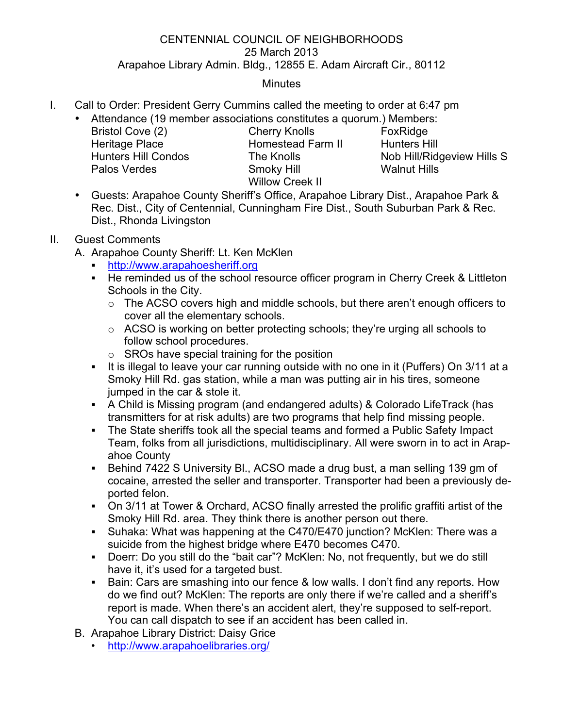## CENTENNIAL COUNCIL OF NEIGHBORHOODS 25 March 2013 Arapahoe Library Admin. Bldg., 12855 E. Adam Aircraft Cir., 80112

## **Minutes**

- I. Call to Order: President Gerry Cummins called the meeting to order at 6:47 pm
	- Attendance (19 member associations constitutes a quorum.) Members: Bristol Cove (2) Cherry Knolls FoxRidge Heritage Place **Homestead Farm II** Hunters Hill Palos Verdes **Smoky Hill** Walnut Hills

Willow Creek II

Hunters Hill Condos The Knolls Nob Hill/Ridgeview Hills S

- Guests: Arapahoe County Sheriff's Office, Arapahoe Library Dist., Arapahoe Park & Rec. Dist., City of Centennial, Cunningham Fire Dist., South Suburban Park & Rec. Dist., Rhonda Livingston
- II. Guest Comments
	- A. Arapahoe County Sheriff: Lt. Ken McKlen
		- http://www.arapahoesheriff.org
		- ! He reminded us of the school resource officer program in Cherry Creek & Littleton Schools in the City.
			- o The ACSO covers high and middle schools, but there aren't enough officers to cover all the elementary schools.
			- o ACSO is working on better protecting schools; they're urging all schools to follow school procedures.
			- o SROs have special training for the position
		- ! It is illegal to leave your car running outside with no one in it (Puffers) On 3/11 at a Smoky Hill Rd. gas station, while a man was putting air in his tires, someone jumped in the car & stole it.
		- ! A Child is Missing program (and endangered adults) & Colorado LifeTrack (has transmitters for at risk adults) are two programs that help find missing people.
		- ! The State sheriffs took all the special teams and formed a Public Safety Impact Team, folks from all jurisdictions, multidisciplinary. All were sworn in to act in Arapahoe County
		- ! Behind 7422 S University Bl., ACSO made a drug bust, a man selling 139 gm of cocaine, arrested the seller and transporter. Transporter had been a previously deported felon.
		- ! On 3/11 at Tower & Orchard, ACSO finally arrested the prolific graffiti artist of the Smoky Hill Rd. area. They think there is another person out there.
		- ! Suhaka: What was happening at the C470/E470 junction? McKlen: There was a suicide from the highest bridge where E470 becomes C470.
		- ! Doerr: Do you still do the "bait car"? McKlen: No, not frequently, but we do still have it, it's used for a targeted bust.
		- ! Bain: Cars are smashing into our fence & low walls. I don't find any reports. How do we find out? McKlen: The reports are only there if we're called and a sheriff's report is made. When there's an accident alert, they're supposed to self-report. You can call dispatch to see if an accident has been called in.
	- B. Arapahoe Library District: Daisy Grice
		- http://www.arapahoelibraries.org/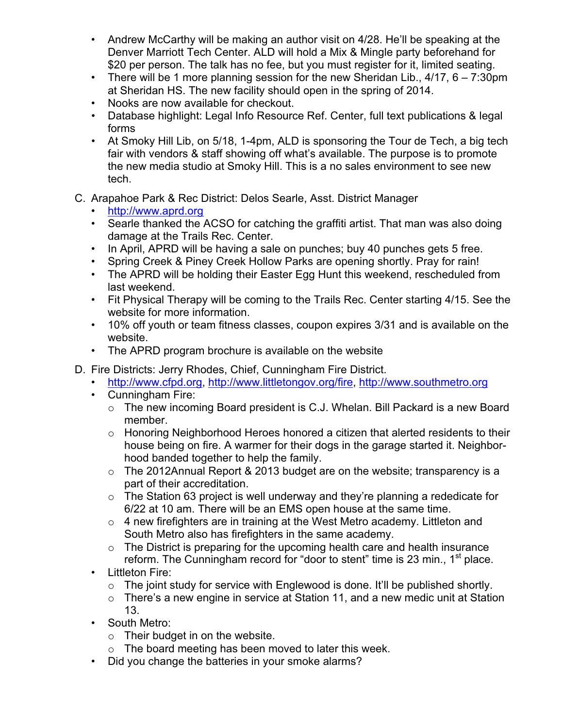- Andrew McCarthy will be making an author visit on 4/28. He'll be speaking at the Denver Marriott Tech Center. ALD will hold a Mix & Mingle party beforehand for \$20 per person. The talk has no fee, but you must register for it, limited seating.
- There will be 1 more planning session for the new Sheridan Lib.,  $4/17$ ,  $6 7:30 \text{pm}$ at Sheridan HS. The new facility should open in the spring of 2014.
- Nooks are now available for checkout.
- Database highlight: Legal Info Resource Ref. Center, full text publications & legal forms
- At Smoky Hill Lib, on 5/18, 1-4pm, ALD is sponsoring the Tour de Tech, a big tech fair with vendors & staff showing off what's available. The purpose is to promote the new media studio at Smoky Hill. This is a no sales environment to see new tech.
- C. Arapahoe Park & Rec District: Delos Searle, Asst. District Manager
	- http://www.aprd.org
	- Searle thanked the ACSO for catching the graffiti artist. That man was also doing damage at the Trails Rec. Center.
	- In April, APRD will be having a sale on punches; buy 40 punches gets 5 free.
	- Spring Creek & Piney Creek Hollow Parks are opening shortly. Pray for rain!
	- The APRD will be holding their Easter Egg Hunt this weekend, rescheduled from last weekend.
	- Fit Physical Therapy will be coming to the Trails Rec. Center starting 4/15. See the website for more information.
	- 10% off youth or team fitness classes, coupon expires 3/31 and is available on the website.
	- The APRD program brochure is available on the website
- D. Fire Districts: Jerry Rhodes, Chief, Cunningham Fire District.
	- http://www.cfpd.org, http://www.littletongov.org/fire, http://www.southmetro.org
	- Cunningham Fire:
		- o The new incoming Board president is C.J. Whelan. Bill Packard is a new Board member.
		- $\circ$  Honoring Neighborhood Heroes honored a citizen that alerted residents to their house being on fire. A warmer for their dogs in the garage started it. Neighborhood banded together to help the family.
		- $\circ$  The 2012Annual Report & 2013 budget are on the website; transparency is a part of their accreditation.
		- $\circ$  The Station 63 project is well underway and they're planning a rededicate for 6/22 at 10 am. There will be an EMS open house at the same time.
		- $\circ$  4 new firefighters are in training at the West Metro academy. Littleton and South Metro also has firefighters in the same academy.
		- o The District is preparing for the upcoming health care and health insurance reform. The Cunningham record for "door to stent" time is 23 min.,  $1<sup>st</sup>$  place.
	- Littleton Fire:
		- o The joint study for service with Englewood is done. It'll be published shortly.
		- o There's a new engine in service at Station 11, and a new medic unit at Station 13.
	- South Metro:
		- $\circ$  Their budget in on the website.
		- o The board meeting has been moved to later this week.
	- Did you change the batteries in your smoke alarms?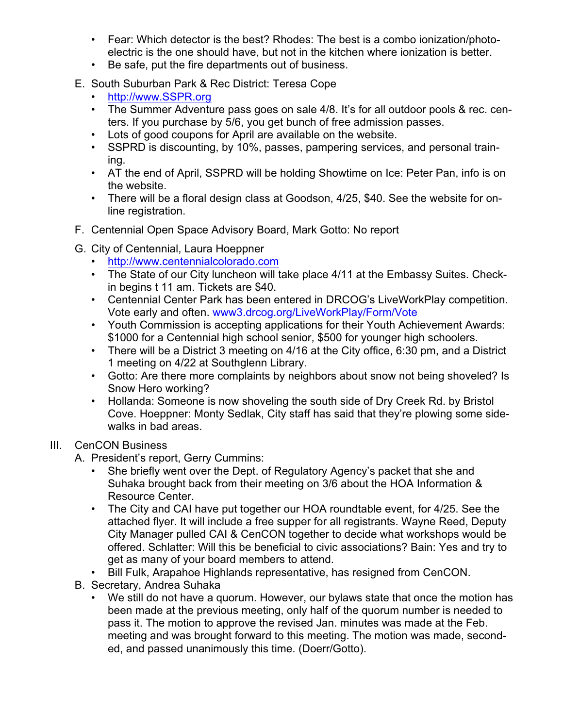- Fear: Which detector is the best? Rhodes: The best is a combo ionization/photoelectric is the one should have, but not in the kitchen where ionization is better.
- Be safe, put the fire departments out of business.
- E. South Suburban Park & Rec District: Teresa Cope
	- http://www.SSPR.org
	- The Summer Adventure pass goes on sale 4/8. It's for all outdoor pools & rec. centers. If you purchase by 5/6, you get bunch of free admission passes.
	- Lots of good coupons for April are available on the website.
	- SSPRD is discounting, by 10%, passes, pampering services, and personal training.
	- AT the end of April, SSPRD will be holding Showtime on Ice: Peter Pan, info is on the website.
	- There will be a floral design class at Goodson, 4/25, \$40. See the website for online registration.
- F. Centennial Open Space Advisory Board, Mark Gotto: No report
- G. City of Centennial, Laura Hoeppner
	- http://www.centennialcolorado.com
	- The State of our City luncheon will take place 4/11 at the Embassy Suites. Checkin begins t 11 am. Tickets are \$40.
	- Centennial Center Park has been entered in DRCOG's LiveWorkPlay competition. Vote early and often. www3.drcog.org/LiveWorkPlay/Form/Vote
	- Youth Commission is accepting applications for their Youth Achievement Awards: \$1000 for a Centennial high school senior, \$500 for younger high schoolers.
	- There will be a District 3 meeting on 4/16 at the City office, 6:30 pm, and a District 1 meeting on 4/22 at Southglenn Library.
	- Gotto: Are there more complaints by neighbors about snow not being shoveled? Is Snow Hero working?
	- Hollanda: Someone is now shoveling the south side of Dry Creek Rd. by Bristol Cove. Hoeppner: Monty Sedlak, City staff has said that they're plowing some sidewalks in bad areas.

## III. CenCON Business

- A. President's report, Gerry Cummins:
	- She briefly went over the Dept. of Regulatory Agency's packet that she and Suhaka brought back from their meeting on 3/6 about the HOA Information & Resource Center.
	- The City and CAI have put together our HOA roundtable event, for 4/25. See the attached flyer. It will include a free supper for all registrants. Wayne Reed, Deputy City Manager pulled CAI & CenCON together to decide what workshops would be offered. Schlatter: Will this be beneficial to civic associations? Bain: Yes and try to get as many of your board members to attend.
	- Bill Fulk, Arapahoe Highlands representative, has resigned from CenCON.
- B. Secretary, Andrea Suhaka
	- We still do not have a quorum. However, our bylaws state that once the motion has been made at the previous meeting, only half of the quorum number is needed to pass it. The motion to approve the revised Jan. minutes was made at the Feb. meeting and was brought forward to this meeting. The motion was made, seconded, and passed unanimously this time. (Doerr/Gotto).